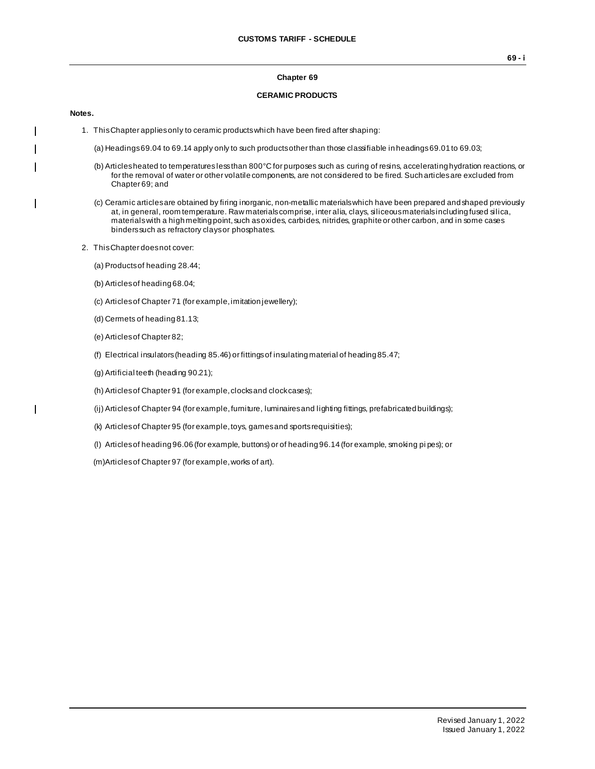### **Chapter 69**

## **CERAMIC PRODUCTS**

#### **Notes.**

 $\overline{\phantom{a}}$ 

 $\mathbf{I}$ 

 $\mathbf{I}$ 

- 1. This Chapter applies only to ceramic products which have been fired after shaping:
	- (a) Headings 69.04 to 69.14 apply only to such products other than those classifiable in headings 69.01 to 69.03;
	- (b) Articles heated to temperatures less than 800°C for purposes such as curing of resins, accelerating hydration reactions, or for the removal of water or other volatile components, are not considered to be fired. Such articles are excluded from Chapter 69; and
	- (c) Ceramic articles are obtained by firing inorganic, non-metallic materials which have been prepared and shaped previously at, in general, room temperature. Raw materials comprise, inter alia, clays, siliceous materials including fused silica, materials with a high melting point, such as oxides, carbides, nitrides, graphite or other carbon, and in some cases binders such as refractory clays or phosphates.
- 2. This Chapter does not cover:
	- (a) Products of heading 28.44;
	- (b) Articles of heading 68.04;
	- (c) Articles of Chapter 71 (for example, imitation jewellery);
	- (d) Cermets of heading 81.13;
	- (e) Articles of Chapter 82;
	- (f) Electrical insulators (heading 85.46) or fittings of insulating material of heading 85.47;
	- (g) Artificial teeth (heading 90.21);
	- (h) Articles of Chapter 91 (for example, clocks and clock cases);
	- (ij) Articles of Chapter 94 (for example, furniture, luminaires and lighting fittings, prefabricated buildings);
	- (k) Articles of Chapter 95 (for example, toys, games and sports requisities);
	- (l) Articles of heading 96.06 (for example, buttons) or of heading 96.14 (for example, smoking pi pes); or
	- (m)Articles of Chapter 97 (for example, works of art).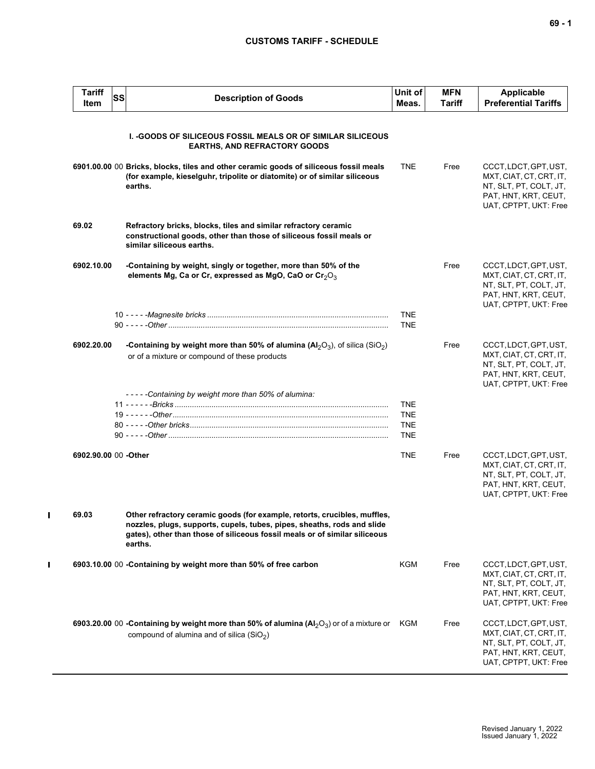## **CUSTOMS TARIFF - SCHEDULE**

| <b>Tariff</b><br>Item | SS | <b>Description of Goods</b>                                                                                                                                                                                                                   | Unit of<br>Meas.                                     | <b>MFN</b><br>Tariff | <b>Applicable</b><br><b>Preferential Tariffs</b>                                                                            |
|-----------------------|----|-----------------------------------------------------------------------------------------------------------------------------------------------------------------------------------------------------------------------------------------------|------------------------------------------------------|----------------------|-----------------------------------------------------------------------------------------------------------------------------|
|                       |    | <b>I. -GOODS OF SILICEOUS FOSSIL MEALS OR OF SIMILAR SILICEOUS</b><br><b>EARTHS, AND REFRACTORY GOODS</b>                                                                                                                                     |                                                      |                      |                                                                                                                             |
|                       |    | 6901.00.00 00 Bricks, blocks, tiles and other ceramic goods of siliceous fossil meals<br>(for example, kieselguhr, tripolite or diatomite) or of similar siliceous<br>earths.                                                                 | <b>TNE</b>                                           | Free                 | CCCT, LDCT, GPT, UST,<br>MXT, CIAT, CT, CRT, IT,<br>NT, SLT, PT, COLT, JT,<br>PAT, HNT, KRT, CEUT,<br>UAT, CPTPT, UKT: Free |
| 69.02                 |    | Refractory bricks, blocks, tiles and similar refractory ceramic<br>constructional goods, other than those of siliceous fossil meals or<br>similar siliceous earths.                                                                           |                                                      |                      |                                                                                                                             |
| 6902.10.00            |    | -Containing by weight, singly or together, more than 50% of the<br>elements Mg, Ca or Cr, expressed as MgO, CaO or Cr <sub>2</sub> O <sub>3</sub>                                                                                             |                                                      | Free                 | CCCT, LDCT, GPT, UST,<br>MXT, CIAT, CT, CRT, IT,<br>NT, SLT, PT, COLT, JT,<br>PAT, HNT, KRT, CEUT,<br>UAT, CPTPT, UKT: Free |
|                       |    |                                                                                                                                                                                                                                               | <b>TNE</b><br><b>TNE</b>                             |                      |                                                                                                                             |
| 6902.20.00            |    | -Containing by weight more than 50% of alumina ( $Al_2O_3$ ), of silica (SiO <sub>2</sub> )<br>or of a mixture or compound of these products                                                                                                  |                                                      | Free                 | CCCT, LDCT, GPT, UST,<br>MXT, CIAT, CT, CRT, IT,<br>NT, SLT, PT, COLT, JT,<br>PAT, HNT, KRT, CEUT,<br>UAT, CPTPT, UKT: Free |
|                       |    | -----Containing by weight more than 50% of alumina:                                                                                                                                                                                           | <b>TNE</b><br><b>TNE</b><br><b>TNE</b><br><b>TNE</b> |                      |                                                                                                                             |
| 6902.90.00 00 -Other  |    |                                                                                                                                                                                                                                               | <b>TNE</b>                                           | Free                 | CCCT, LDCT, GPT, UST,<br>MXT, CIAT, CT, CRT, IT,<br>NT, SLT, PT, COLT, JT,<br>PAT, HNT, KRT, CEUT,<br>UAT, CPTPT, UKT: Free |
| 69.03                 |    | Other refractory ceramic goods (for example, retorts, crucibles, muffles,<br>nozzles, plugs, supports, cupels, tubes, pipes, sheaths, rods and slide<br>gates), other than those of siliceous fossil meals or of similar siliceous<br>earths. |                                                      |                      |                                                                                                                             |
|                       |    | 6903.10.00 00 -Containing by weight more than 50% of free carbon                                                                                                                                                                              | <b>KGM</b>                                           | Free                 | CCCT, LDCT, GPT, UST,<br>MXT, CIAT, CT, CRT, IT,<br>NT, SLT, PT, COLT, JT,<br>PAT, HNT, KRT, CEUT,<br>UAT, CPTPT, UKT: Free |
|                       |    | <b>6903.20.00</b> 00 - <b>Containing by weight more than 50% of alumina (Al</b> $_2$ O <sub>3</sub> ) or of a mixture or KGM<br>compound of alumina and of silica $(SiO2)$                                                                    |                                                      | Free                 | CCCT, LDCT, GPT, UST,<br>MXT, CIAT, CT, CRT, IT,<br>NT, SLT, PT, COLT, JT,<br>PAT, HNT, KRT, CEUT,<br>UAT, CPTPT, UKT: Free |

 $\mathbf{I}$ 

 $\mathbf{I}$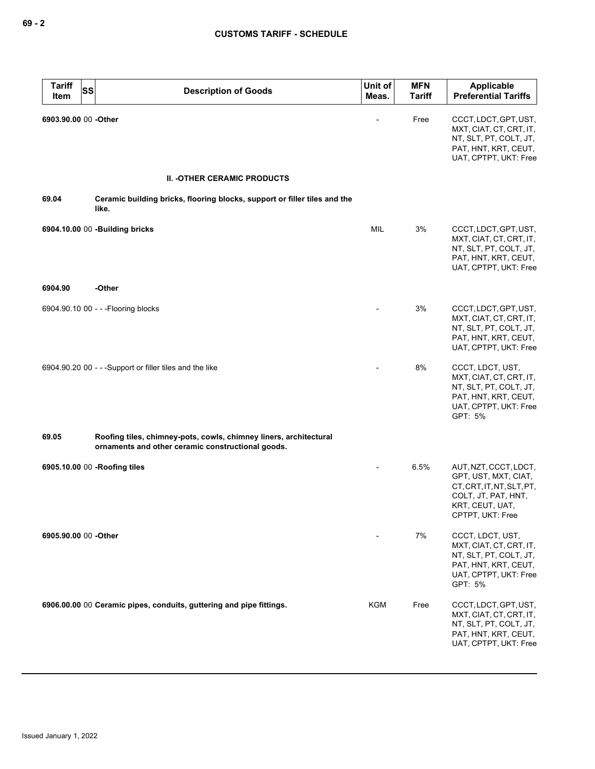| <b>Tariff</b><br>Item | <b>SS</b> | <b>Description of Goods</b>                                                                                            | Unit of<br>Meas. | <b>MFN</b><br><b>Tariff</b> | Applicable<br><b>Preferential Tariffs</b>                                                                                                |
|-----------------------|-----------|------------------------------------------------------------------------------------------------------------------------|------------------|-----------------------------|------------------------------------------------------------------------------------------------------------------------------------------|
| 6903.90.00 00 - Other |           |                                                                                                                        |                  | Free                        | CCCT, LDCT, GPT, UST,<br>MXT, CIAT, CT, CRT, IT,<br>NT, SLT, PT, COLT, JT,<br>PAT, HNT, KRT, CEUT,<br>UAT, CPTPT, UKT: Free              |
|                       |           | <b>II. - OTHER CERAMIC PRODUCTS</b>                                                                                    |                  |                             |                                                                                                                                          |
| 69.04                 |           | Ceramic building bricks, flooring blocks, support or filler tiles and the<br>like.                                     |                  |                             |                                                                                                                                          |
|                       |           | 6904.10.00 00 -Building bricks                                                                                         | MIL              | 3%                          | CCCT, LDCT, GPT, UST,<br>MXT, CIAT, CT, CRT, IT,<br>NT, SLT, PT, COLT, JT,<br>PAT, HNT, KRT, CEUT,<br>UAT, CPTPT, UKT: Free              |
| 6904.90               |           | -Other                                                                                                                 |                  |                             |                                                                                                                                          |
|                       |           | 6904.90.10 00 - - - Flooring blocks                                                                                    |                  | 3%                          | CCCT, LDCT, GPT, UST,<br>MXT, CIAT, CT, CRT, IT,<br>NT, SLT, PT, COLT, JT,<br>PAT, HNT, KRT, CEUT,<br>UAT, CPTPT, UKT: Free              |
|                       |           | 6904.90.20 00 - - - Support or filler tiles and the like                                                               |                  | 8%                          | CCCT, LDCT, UST,<br>MXT, CIAT, CT, CRT, IT,<br>NT, SLT, PT, COLT, JT,<br>PAT, HNT, KRT, CEUT,<br>UAT, CPTPT, UKT: Free<br>GPT: 5%        |
| 69.05                 |           | Roofing tiles, chimney-pots, cowls, chimney liners, architectural<br>ornaments and other ceramic constructional goods. |                  |                             |                                                                                                                                          |
|                       |           | 6905.10.00 00 -Roofing tiles                                                                                           |                  | 6.5%                        | AUT, NZT, CCCT, LDCT,<br>GPT, UST, MXT, CIAT,<br>CT, CRT, IT, NT, SLT, PT,<br>COLT, JT, PAT, HNT,<br>KRT, CEUT, UAT,<br>CPTPT, UKT: Free |
| 6905.90.00 00 -Other  |           |                                                                                                                        |                  | 7%                          | CCCT, LDCT, UST,<br>MXT, CIAT, CT, CRT, IT,<br>NT, SLT, PT, COLT, JT,<br>PAT, HNT, KRT, CEUT,<br>UAT, CPTPT, UKT: Free<br>GPT: 5%        |
|                       |           | 6906.00.00 00 Ceramic pipes, conduits, guttering and pipe fittings.                                                    | <b>KGM</b>       | Free                        | CCCT, LDCT, GPT, UST,<br>MXT, CIAT, CT, CRT, IT,<br>NT, SLT, PT, COLT, JT,<br>PAT, HNT, KRT, CEUT,<br>UAT, CPTPT, UKT: Free              |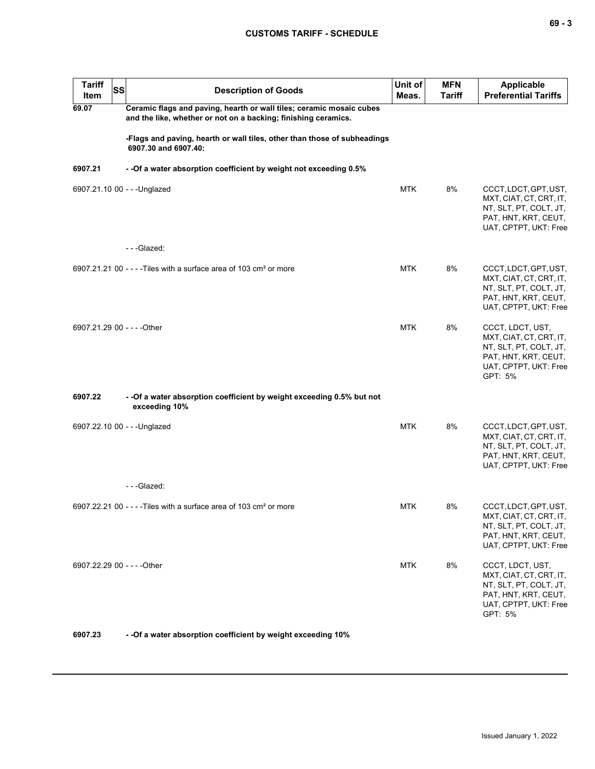| <b>Tariff</b><br>Item       | <b>SS</b> | <b>Description of Goods</b>                                                                                                            | Unit of<br>Meas. | <b>MFN</b><br><b>Tariff</b> | Applicable<br><b>Preferential Tariffs</b>                                                                                         |
|-----------------------------|-----------|----------------------------------------------------------------------------------------------------------------------------------------|------------------|-----------------------------|-----------------------------------------------------------------------------------------------------------------------------------|
| 69.07                       |           | Ceramic flags and paving, hearth or wall tiles; ceramic mosaic cubes<br>and the like, whether or not on a backing; finishing ceramics. |                  |                             |                                                                                                                                   |
|                             |           | -Flags and paving, hearth or wall tiles, other than those of subheadings<br>6907.30 and 6907.40:                                       |                  |                             |                                                                                                                                   |
| 6907.21                     |           | - - Of a water absorption coefficient by weight not exceeding 0.5%                                                                     |                  |                             |                                                                                                                                   |
|                             |           | 6907.21.10 00 - - - Unglazed                                                                                                           | <b>MTK</b>       | 8%                          | CCCT, LDCT, GPT, UST,<br>MXT, CIAT, CT, CRT, IT,<br>NT, SLT, PT, COLT, JT,<br>PAT, HNT, KRT, CEUT,<br>UAT, CPTPT, UKT: Free       |
|                             |           | ---Glazed:                                                                                                                             |                  |                             |                                                                                                                                   |
|                             |           | 6907.21.21 00 - - - - Tiles with a surface area of 103 cm <sup>2</sup> or more                                                         | <b>MTK</b>       | 8%                          | CCCT, LDCT, GPT, UST,<br>MXT, CIAT, CT, CRT, IT,<br>NT, SLT, PT, COLT, JT,<br>PAT, HNT, KRT, CEUT,<br>UAT, CPTPT, UKT: Free       |
| 6907.21.29 00 - - - - Other |           |                                                                                                                                        | <b>MTK</b>       | 8%                          | CCCT, LDCT, UST,<br>MXT, CIAT, CT, CRT, IT,<br>NT, SLT, PT, COLT, JT,<br>PAT, HNT, KRT, CEUT,<br>UAT, CPTPT, UKT: Free<br>GPT: 5% |
| 6907.22                     |           | - - Of a water absorption coefficient by weight exceeding 0.5% but not<br>exceeding 10%                                                |                  |                             |                                                                                                                                   |
|                             |           | 6907.22.10 00 - - - Unglazed                                                                                                           | <b>MTK</b>       | 8%                          | CCCT, LDCT, GPT, UST,<br>MXT, CIAT, CT, CRT, IT,<br>NT, SLT, PT, COLT, JT,<br>PAT, HNT, KRT, CEUT,<br>UAT, CPTPT, UKT: Free       |
|                             |           | ---Glazed:                                                                                                                             |                  |                             |                                                                                                                                   |
|                             |           | 6907.22.21 00 - - - - Tiles with a surface area of 103 cm <sup>2</sup> or more                                                         | <b>MTK</b>       | 8%                          | CCCT, LDCT, GPT, UST,<br>MXT, CIAT, CT, CRT, IT,<br>NT, SLT, PT, COLT, JT,<br>PAT, HNT, KRT, CEUT,<br>UAT, CPTPT, UKT: Free       |
| 6907.22.29 00 - - - - Other |           |                                                                                                                                        | <b>MTK</b>       | 8%                          | CCCT, LDCT, UST,<br>MXT, CIAT, CT, CRT, IT,<br>NT, SLT, PT, COLT, JT,<br>PAT, HNT, KRT, CEUT,<br>UAT, CPTPT, UKT: Free<br>GPT: 5% |

**6907.23 - -Of a water absorption coefficient by weight exceeding 10%**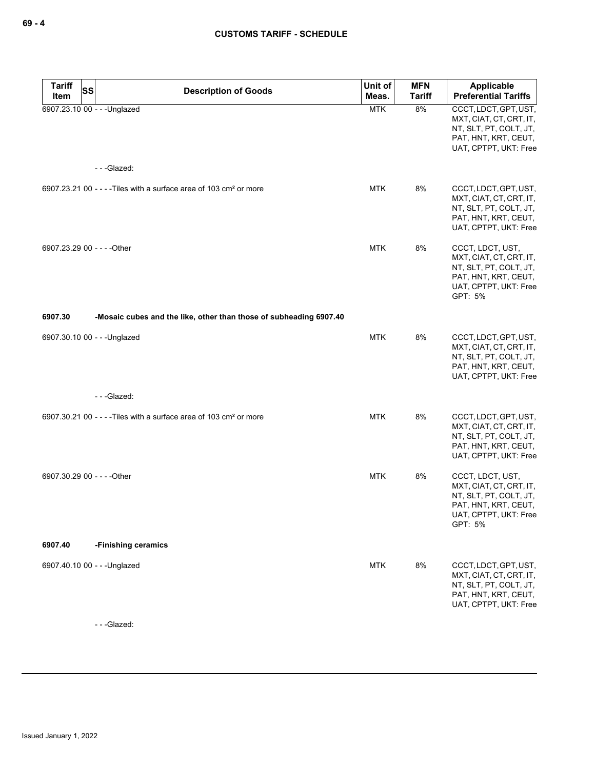| <b>Tariff</b><br>Item | SS<br><b>Description of Goods</b>                                              | Unit of<br>Meas. | <b>MFN</b><br><b>Tariff</b> | Applicable<br><b>Preferential Tariffs</b>                                                                                         |
|-----------------------|--------------------------------------------------------------------------------|------------------|-----------------------------|-----------------------------------------------------------------------------------------------------------------------------------|
|                       | 6907.23.10 00 - - - Unglazed                                                   | <b>MTK</b>       | 8%                          | CCCT, LDCT, GPT, UST,<br>MXT, CIAT, CT, CRT, IT,<br>NT, SLT, PT, COLT, JT,<br>PAT, HNT, KRT, CEUT,<br>UAT, CPTPT, UKT: Free       |
|                       | ---Glazed:                                                                     |                  |                             |                                                                                                                                   |
|                       | 6907.23.21 00 - - - - Tiles with a surface area of 103 cm <sup>2</sup> or more | <b>MTK</b>       | 8%                          | CCCT, LDCT, GPT, UST,<br>MXT, CIAT, CT, CRT, IT,<br>NT, SLT, PT, COLT, JT,<br>PAT, HNT, KRT, CEUT,<br>UAT, CPTPT, UKT: Free       |
|                       | 6907.23.29 00 - - - - Other                                                    | <b>MTK</b>       | 8%                          | CCCT, LDCT, UST,<br>MXT, CIAT, CT, CRT, IT,<br>NT, SLT, PT, COLT, JT,<br>PAT, HNT, KRT, CEUT,<br>UAT, CPTPT, UKT: Free<br>GPT: 5% |
| 6907.30               | -Mosaic cubes and the like, other than those of subheading 6907.40             |                  |                             |                                                                                                                                   |
|                       | 6907.30.10 00 - - - Unglazed                                                   | <b>MTK</b>       | 8%                          | CCCT, LDCT, GPT, UST,<br>MXT, CIAT, CT, CRT, IT,<br>NT, SLT, PT, COLT, JT,<br>PAT, HNT, KRT, CEUT,<br>UAT, CPTPT, UKT: Free       |
|                       | ---Glazed:                                                                     |                  |                             |                                                                                                                                   |
|                       | 6907.30.21 00 - - - - Tiles with a surface area of 103 cm <sup>2</sup> or more | <b>MTK</b>       | 8%                          | CCCT, LDCT, GPT, UST,<br>MXT, CIAT, CT, CRT, IT,<br>NT, SLT, PT, COLT, JT,<br>PAT, HNT, KRT, CEUT,<br>UAT, CPTPT, UKT: Free       |
|                       | 6907.30.29 00 - - - - Other                                                    | <b>MTK</b>       | 8%                          | CCCT, LDCT, UST,<br>MXT, CIAT, CT, CRT, IT,<br>NT, SLT, PT, COLT, JT,<br>PAT, HNT, KRT, CEUT,<br>UAT, CPTPT, UKT: Free<br>GPT: 5% |
| 6907.40               | -Finishing ceramics                                                            |                  |                             |                                                                                                                                   |
|                       | 6907.40.10 00 - - - Unglazed                                                   | <b>MTK</b>       | 8%                          | CCCT, LDCT, GPT, UST,<br>MXT, CIAT, CT, CRT, IT,<br>NT, SLT, PT, COLT, JT,<br>PAT, HNT, KRT, CEUT,<br>UAT, CPTPT, UKT: Free       |

- - -Glazed: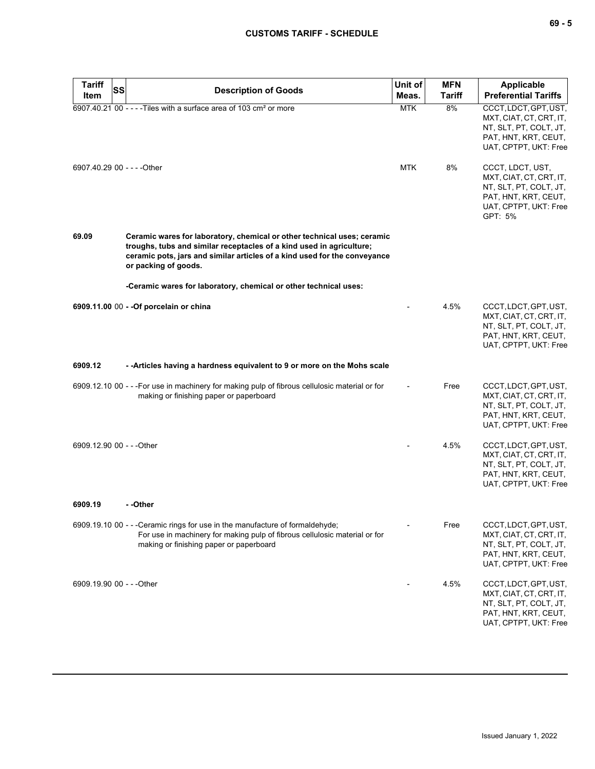# **CUSTOMS TARIFF - SCHEDULE**

| <b>Tariff</b><br>SS         |                                                                                                                                                                                                                                                      | Unit of    | <b>MFN</b>    | <b>Applicable</b>                                                                                                                 |
|-----------------------------|------------------------------------------------------------------------------------------------------------------------------------------------------------------------------------------------------------------------------------------------------|------------|---------------|-----------------------------------------------------------------------------------------------------------------------------------|
| Item                        | <b>Description of Goods</b>                                                                                                                                                                                                                          | Meas.      | <b>Tariff</b> | <b>Preferential Tariffs</b>                                                                                                       |
|                             | 6907.40.21 00 - - - - Tiles with a surface area of 103 cm <sup>2</sup> or more                                                                                                                                                                       | <b>MTK</b> | 8%            | CCCT, LDCT, GPT, UST,<br>MXT, CIAT, CT, CRT, IT,<br>NT, SLT, PT, COLT, JT,<br>PAT, HNT, KRT, CEUT,<br>UAT, CPTPT, UKT: Free       |
| 6907.40.29 00 - - - - Other |                                                                                                                                                                                                                                                      | <b>MTK</b> | 8%            | CCCT, LDCT, UST,<br>MXT, CIAT, CT, CRT, IT,<br>NT, SLT, PT, COLT, JT,<br>PAT, HNT, KRT, CEUT,<br>UAT, CPTPT, UKT: Free<br>GPT: 5% |
| 69.09                       | Ceramic wares for laboratory, chemical or other technical uses; ceramic<br>troughs, tubs and similar receptacles of a kind used in agriculture;<br>ceramic pots, jars and similar articles of a kind used for the conveyance<br>or packing of goods. |            |               |                                                                                                                                   |
|                             | -Ceramic wares for laboratory, chemical or other technical uses:                                                                                                                                                                                     |            |               |                                                                                                                                   |
|                             | 6909.11.00 00 - - Of porcelain or china                                                                                                                                                                                                              |            | 4.5%          | CCCT, LDCT, GPT, UST,<br>MXT, CIAT, CT, CRT, IT,<br>NT, SLT, PT, COLT, JT,<br>PAT, HNT, KRT, CEUT,<br>UAT, CPTPT, UKT: Free       |
| 6909.12                     | -- Articles having a hardness equivalent to 9 or more on the Mohs scale                                                                                                                                                                              |            |               |                                                                                                                                   |
|                             | 6909.12.10 00 - - - For use in machinery for making pulp of fibrous cellulosic material or for<br>making or finishing paper or paperboard                                                                                                            |            | Free          | CCCT, LDCT, GPT, UST,<br>MXT, CIAT, CT, CRT, IT,<br>NT, SLT, PT, COLT, JT,<br>PAT, HNT, KRT, CEUT,<br>UAT, CPTPT, UKT: Free       |
| 6909.12.90 00 - - - Other   |                                                                                                                                                                                                                                                      |            | 4.5%          | CCCT, LDCT, GPT, UST,<br>MXT, CIAT, CT, CRT, IT,<br>NT, SLT, PT, COLT, JT,<br>PAT, HNT, KRT, CEUT,<br>UAT, CPTPT, UKT: Free       |
| 6909.19                     | - -Other                                                                                                                                                                                                                                             |            |               |                                                                                                                                   |
|                             | 6909.19.10 00 - - - Ceramic rings for use in the manufacture of formaldehyde;<br>For use in machinery for making pulp of fibrous cellulosic material or for<br>making or finishing paper or paperboard                                               |            | Free          | CCCT, LDCT, GPT, UST,<br>MXT, CIAT, CT, CRT, IT,<br>NT, SLT, PT, COLT, JT,<br>PAT, HNT, KRT, CEUT,<br>UAT, CPTPT, UKT: Free       |
| 6909.19.90 00 - - - Other   |                                                                                                                                                                                                                                                      |            | 4.5%          | CCCT, LDCT, GPT, UST,<br>MXT, CIAT, CT, CRT, IT,<br>NT, SLT, PT, COLT, JT,<br>PAT, HNT, KRT, CEUT,<br>UAT, CPTPT, UKT: Free       |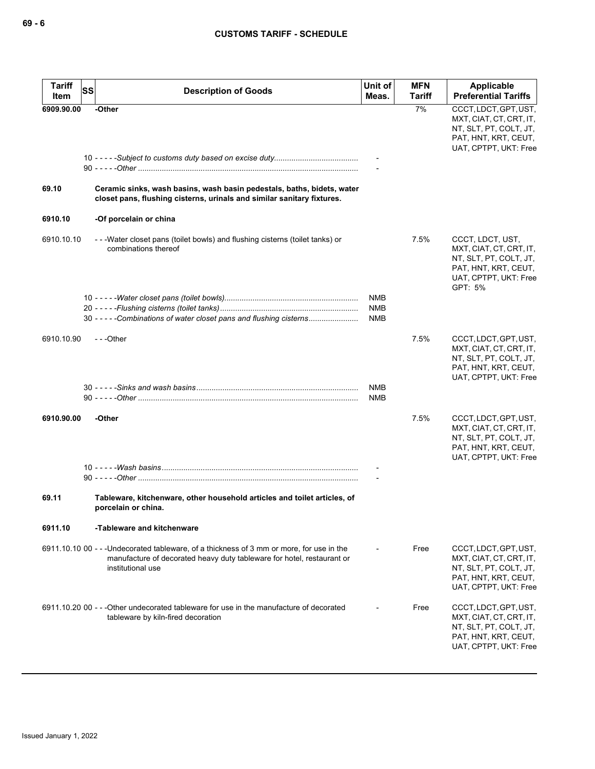| <b>Tariff</b><br>Item | <b>SS</b><br><b>Description of Goods</b>                                                                                                                                                 | Unit of<br>Meas.         | <b>MFN</b><br><b>Tariff</b> | Applicable<br><b>Preferential Tariffs</b>                                                                                         |
|-----------------------|------------------------------------------------------------------------------------------------------------------------------------------------------------------------------------------|--------------------------|-----------------------------|-----------------------------------------------------------------------------------------------------------------------------------|
| 6909.90.00            | -Other                                                                                                                                                                                   |                          | 7%                          | CCCT, LDCT, GPT, UST,                                                                                                             |
|                       |                                                                                                                                                                                          |                          |                             | MXT, CIAT, CT, CRT, IT,<br>NT, SLT, PT, COLT, JT,<br>PAT, HNT, KRT, CEUT,<br>UAT, CPTPT, UKT: Free                                |
|                       |                                                                                                                                                                                          |                          |                             |                                                                                                                                   |
| 69.10                 | Ceramic sinks, wash basins, wash basin pedestals, baths, bidets, water<br>closet pans, flushing cisterns, urinals and similar sanitary fixtures.                                         |                          |                             |                                                                                                                                   |
| 6910.10               | -Of porcelain or china                                                                                                                                                                   |                          |                             |                                                                                                                                   |
| 6910.10.10            | ---Water closet pans (toilet bowls) and flushing cisterns (toilet tanks) or<br>combinations thereof                                                                                      |                          | 7.5%                        | CCCT, LDCT, UST,<br>MXT, CIAT, CT, CRT, IT,<br>NT, SLT, PT, COLT, JT,<br>PAT, HNT, KRT, CEUT,<br>UAT, CPTPT, UKT: Free<br>GPT: 5% |
|                       |                                                                                                                                                                                          | NMB                      |                             |                                                                                                                                   |
|                       | 30 - - - - - Combinations of water closet pans and flushing cisterns                                                                                                                     | <b>NMB</b><br><b>NMB</b> |                             |                                                                                                                                   |
|                       |                                                                                                                                                                                          |                          |                             |                                                                                                                                   |
| 6910.10.90            | ---Other                                                                                                                                                                                 |                          | 7.5%                        | CCCT, LDCT, GPT, UST,<br>MXT, CIAT, CT, CRT, IT,<br>NT, SLT, PT, COLT, JT,<br>PAT, HNT, KRT, CEUT,<br>UAT, CPTPT, UKT: Free       |
|                       |                                                                                                                                                                                          | NMB                      |                             |                                                                                                                                   |
|                       |                                                                                                                                                                                          | NMB                      |                             |                                                                                                                                   |
| 6910.90.00            | -Other                                                                                                                                                                                   |                          | 7.5%                        | CCCT, LDCT, GPT, UST,<br>MXT, CIAT, CT, CRT, IT,<br>NT, SLT, PT, COLT, JT,<br>PAT, HNT, KRT, CEUT,<br>UAT, CPTPT, UKT: Free       |
|                       |                                                                                                                                                                                          |                          |                             |                                                                                                                                   |
| 69.11                 | Tableware, kitchenware, other household articles and toilet articles, of<br>porcelain or china.                                                                                          |                          |                             |                                                                                                                                   |
| 6911.10               | -Tableware and kitchenware                                                                                                                                                               |                          |                             |                                                                                                                                   |
|                       | 6911.10.10 00 - - - Undecorated tableware, of a thickness of 3 mm or more, for use in the<br>manufacture of decorated heavy duty tableware for hotel, restaurant or<br>institutional use |                          | Free                        | CCCT, LDCT, GPT, UST,<br>MXT, CIAT, CT, CRT, IT,<br>NT, SLT, PT, COLT, JT,<br>PAT, HNT, KRT, CEUT,<br>UAT, CPTPT, UKT: Free       |
|                       | 6911.10.20 00 - - - Other undecorated tableware for use in the manufacture of decorated<br>tableware by kiln-fired decoration                                                            |                          | Free                        | CCCT, LDCT, GPT, UST,<br>MXT, CIAT, CT, CRT, IT,<br>NT, SLT, PT, COLT, JT,<br>PAT, HNT, KRT, CEUT,<br>UAT, CPTPT, UKT: Free       |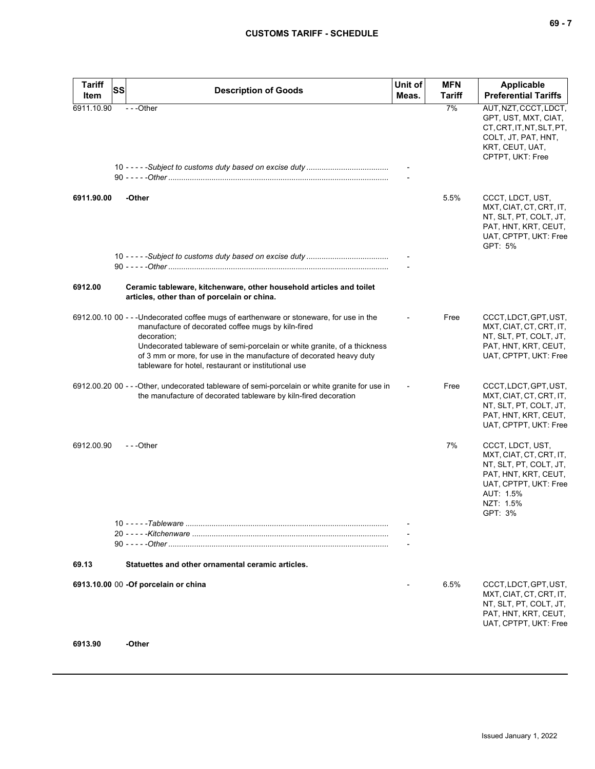| I<br>- - |  |  |
|----------|--|--|
|----------|--|--|

| <b>Tariff</b> | SS                                                                                                                                                                                                                                                                                                                                                                      | Unit of | <b>MFN</b>    | Applicable                                                                                                                                                  |
|---------------|-------------------------------------------------------------------------------------------------------------------------------------------------------------------------------------------------------------------------------------------------------------------------------------------------------------------------------------------------------------------------|---------|---------------|-------------------------------------------------------------------------------------------------------------------------------------------------------------|
| Item          | <b>Description of Goods</b>                                                                                                                                                                                                                                                                                                                                             | Meas.   | <b>Tariff</b> | <b>Preferential Tariffs</b>                                                                                                                                 |
| 6911.10.90    | ---Other                                                                                                                                                                                                                                                                                                                                                                |         | 7%            | AUT, NZT, CCCT, LDCT,<br>GPT, UST, MXT, CIAT,<br>CT, CRT, IT, NT, SLT, PT,<br>COLT, JT, PAT, HNT,<br>KRT, CEUT, UAT,<br>CPTPT, UKT: Free                    |
| 6911.90.00    | -Other                                                                                                                                                                                                                                                                                                                                                                  |         | 5.5%          | CCCT, LDCT, UST,<br>MXT, CIAT, CT, CRT, IT,<br>NT, SLT, PT, COLT, JT,<br>PAT, HNT, KRT, CEUT,<br>UAT, CPTPT, UKT: Free<br>GPT: 5%                           |
| 6912.00       | Ceramic tableware, kitchenware, other household articles and toilet<br>articles, other than of porcelain or china.                                                                                                                                                                                                                                                      |         |               |                                                                                                                                                             |
|               | 6912.00.10 00 - - - Undecorated coffee mugs of earthenware or stoneware, for use in the<br>manufacture of decorated coffee mugs by kiln-fired<br>decoration;<br>Undecorated tableware of semi-porcelain or white granite, of a thickness<br>of 3 mm or more, for use in the manufacture of decorated heavy duty<br>tableware for hotel, restaurant or institutional use |         | Free          | CCCT, LDCT, GPT, UST,<br>MXT, CIAT, CT, CRT, IT,<br>NT, SLT, PT, COLT, JT,<br>PAT, HNT, KRT, CEUT,<br>UAT, CPTPT, UKT: Free                                 |
|               | 6912.00.20 00 - - - Other, undecorated tableware of semi-porcelain or white granite for use in<br>the manufacture of decorated tableware by kiln-fired decoration                                                                                                                                                                                                       |         | Free          | CCCT, LDCT, GPT, UST,<br>MXT, CIAT, CT, CRT, IT,<br>NT, SLT, PT, COLT, JT,<br>PAT, HNT, KRT, CEUT,<br>UAT, CPTPT, UKT: Free                                 |
| 6912.00.90    | ---Other                                                                                                                                                                                                                                                                                                                                                                |         | 7%            | CCCT, LDCT, UST,<br>MXT, CIAT, CT, CRT, IT,<br>NT, SLT, PT, COLT, JT,<br>PAT, HNT, KRT, CEUT,<br>UAT, CPTPT, UKT: Free<br>AUT: 1.5%<br>NZT: 1.5%<br>GPT: 3% |
|               |                                                                                                                                                                                                                                                                                                                                                                         |         |               |                                                                                                                                                             |
|               |                                                                                                                                                                                                                                                                                                                                                                         |         |               |                                                                                                                                                             |
|               |                                                                                                                                                                                                                                                                                                                                                                         |         |               |                                                                                                                                                             |
| 69.13         | Statuettes and other ornamental ceramic articles.                                                                                                                                                                                                                                                                                                                       |         |               |                                                                                                                                                             |
|               | 6913.10.00 00 - Of porcelain or china                                                                                                                                                                                                                                                                                                                                   |         | 6.5%          | CCCT, LDCT, GPT, UST,<br>MXT, CIAT, CT, CRT, IT,<br>NT, SLT, PT, COLT, JT,<br>PAT, HNT, KRT, CEUT,<br>UAT, CPTPT, UKT: Free                                 |
| 6913.90       | -Other                                                                                                                                                                                                                                                                                                                                                                  |         |               |                                                                                                                                                             |

**6913.90 -Other**